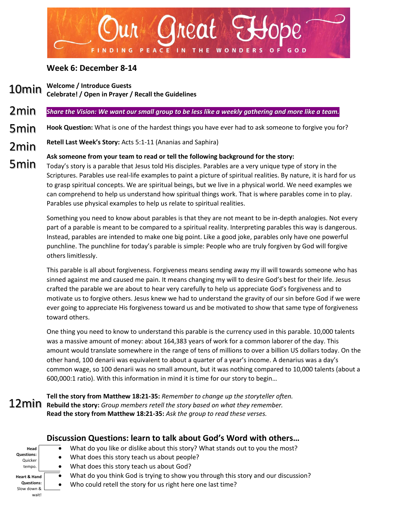

## **Week 6: December 8-14**

- **Welcome / Introduce Guests** 10min
- **Celebrate! / Open in Prayer / Recall the Guidelines**

### *Share the Vision: We want our small group to be less like a weekly gathering and more like a team.*  2min

- **Hook Question:** What is one of the hardest things you have ever had to ask someone to forgive you for? 5min
- **Retell Last Week's Story:** Acts 5:1-11 (Ananias and Saphira) 2min

# **Ask someone from your team to read or tell the following background for the story:**

Today's story is a parable that Jesus told His disciples. Parables are a very unique type of story in the Scriptures. Parables use real-life examples to paint a picture of spiritual realities. By nature, it is hard for us to grasp spiritual concepts. We are spiritual beings, but we live in a physical world. We need examples we can comprehend to help us understand how spiritual things work. That is where parables come in to play. Parables use physical examples to help us relate to spiritual realities. 5min

> Something you need to know about parables is that they are not meant to be in-depth analogies. Not every part of a parable is meant to be compared to a spiritual reality. Interpreting parables this way is dangerous. Instead, parables are intended to make one big point. Like a good joke, parables only have one powerful punchline. The punchline for today's parable is simple: People who are truly forgiven by God will forgive others limitlessly.

> This parable is all about forgiveness. Forgiveness means sending away my ill will towards someone who has sinned against me and caused me pain. It means changing my will to desire God's best for their life. Jesus crafted the parable we are about to hear very carefully to help us appreciate God's forgiveness and to motivate us to forgive others. Jesus knew we had to understand the gravity of our sin before God if we were ever going to appreciate His forgiveness toward us and be motivated to show that same type of forgiveness toward others.

> One thing you need to know to understand this parable is the currency used in this parable. 10,000 talents was a massive amount of money: about 164,383 years of work for a common laborer of the day. This amount would translate somewhere in the range of tens of millions to over a billion US dollars today. On the other hand, 100 denarii was equivalent to about a quarter of a year's income. A denarius was a day's common wage, so 100 denarii was no small amount, but it was nothing compared to 10,000 talents (about a 600,000:1 ratio). With this information in mind it is time for our story to begin…

**Tell the story from Matthew 18:21-35:** *Remember to change up the storyteller often.* **Rebuild the story:** *Group members retell the story based on what they remember.* **Read the story from Matthew 18:21-35:** *Ask the group to read these verses.*

## **Head Questions: Quicker** tempo. **Heart & Hand Questions: Discussion Questions: learn to talk about God's Word with others…** • What do you like or dislike about this story? What stands out to you the most? • What does this story teach us about people? • What does this story teach us about God? • What do you think God is trying to show you through this story and our discussion?

- Who could retell the story for us right here one last time?
- Slow down & wait!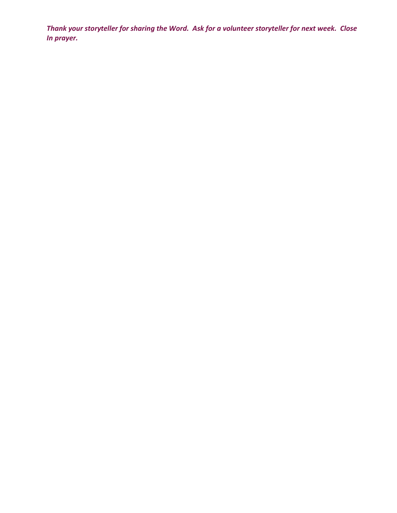*Thank your storyteller for sharing the Word. Ask for a volunteer storyteller for next week. Close In prayer.*